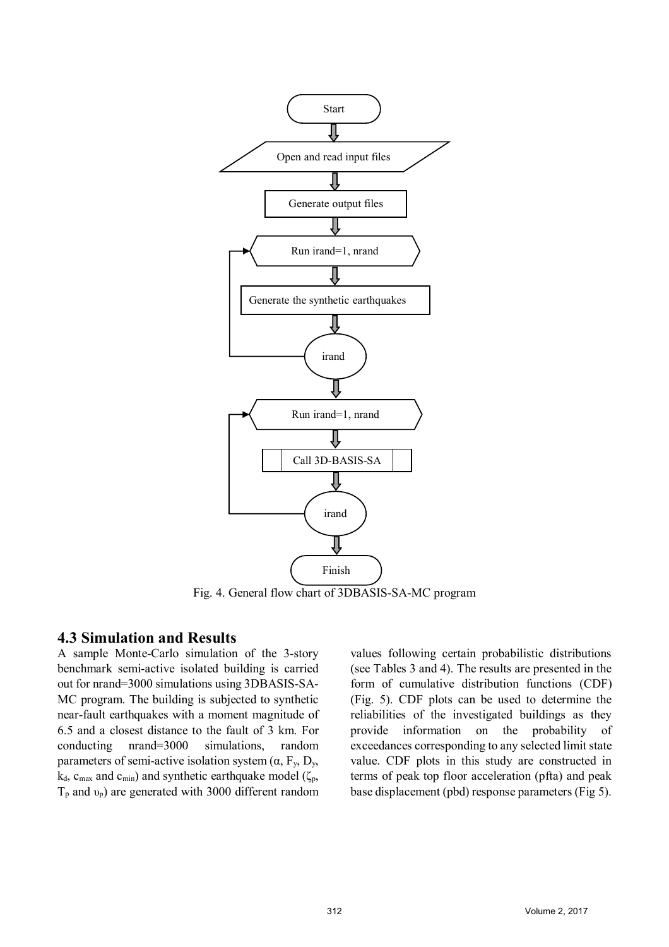

Fig. 4. General flow chart of 3DBASIS-SA-MC program

## **4.3 Simulation and Results**

A sample Monte-Carlo simulation of the 3-story benchmark semi-active isolated building is carried out for nrand=3000 simulations using 3DBASIS-SA-MC program. The building is subjected to synthetic near-fault earthquakes with a moment magnitude of 6.5 and a closest distance to the fault of 3 km. For conducting nrand=3000 simulations, random parameters of semi-active isolation system  $(\alpha, F_y, D_y,$  $k_d$ , c<sub>max</sub> and c<sub>min</sub>) and synthetic earthquake model ( $\zeta_p$ ,  $T_p$  and  $v_p$ ) are generated with 3000 different random

values following certain probabilistic distributions (see Tables 3 and 4). The results are presented in the form of cumulative distribution functions (CDF) (Fig. 5). CDF plots can be used to determine the reliabilities of the investigated buildings as they provide information on the probability of exceedances corresponding to any selected limit state value. CDF plots in this study are constructed in terms of peak top floor acceleration (pfta) and peak base displacement (pbd) response parameters (Fig 5).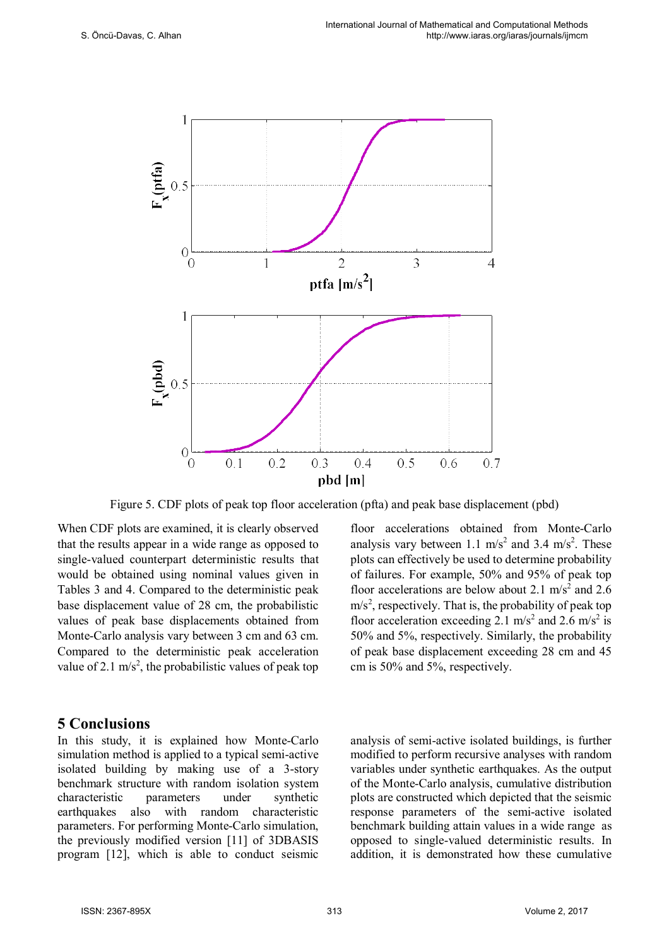

Figure 5. CDF plots of peak top floor acceleration (pfta) and peak base displacement (pbd)

When CDF plots are examined, it is clearly observed that the results appear in a wide range as opposed to single-valued counterpart deterministic results that would be obtained using nominal values given in Tables 3 and 4. Compared to the deterministic peak base displacement value of 28 cm, the probabilistic values of peak base displacements obtained from Monte-Carlo analysis vary between 3 cm and 63 cm. Compared to the deterministic peak acceleration value of 2.1  $\text{m/s}^2$ , the probabilistic values of peak top

## **5 Conclusions**

In this study, it is explained how Monte-Carlo simulation method is applied to a typical semi-active isolated building by making use of a 3-story benchmark structure with random isolation system characteristic parameters under synthetic<br>earthquakes also with random characteristic earthquakes also with random characteristic parameters. For performing Monte-Carlo simulation, the previously modified version [11] of 3DBASIS program [12], which is able to conduct seismic

floor accelerations obtained from Monte-Carlo analysis vary between 1.1  $\text{m/s}^2$  and 3.4  $\text{m/s}^2$ . These plots can effectively be used to determine probability of failures. For example, 50% and 95% of peak top floor accelerations are below about 2.1 m/s<sup>2</sup> and 2.6  $m/s<sup>2</sup>$ , respectively. That is, the probability of peak top floor acceleration exceeding 2.1 m/s<sup>2</sup> and 2.6 m/s<sup>2</sup> is 50% and 5%, respectively. Similarly, the probability of peak base displacement exceeding 28 cm and 45 cm is 50% and 5%, respectively.

analysis of semi-active isolated buildings, is further modified to perform recursive analyses with random variables under synthetic earthquakes. As the output of the Monte-Carlo analysis, cumulative distribution plots are constructed which depicted that the seismic response parameters of the semi-active isolated benchmark building attain values in a wide range as opposed to single-valued deterministic results. In addition, it is demonstrated how these cumulative